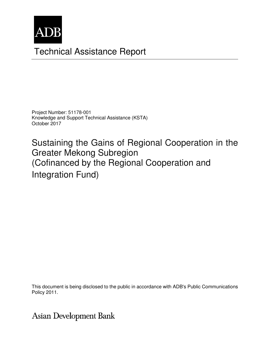

# Technical Assistance Report

Project Number: 51178-001 Knowledge and Support Technical Assistance (KSTA) October 2017

Sustaining the Gains of Regional Cooperation in the Greater Mekong Subregion (Cofinanced by the Regional Cooperation and Integration Fund)

 $\mathsf{Policy}\ 2011.$ This document is being disclosed to the public in accordance with ADB's Public Communications Policy 2011.

**Asian Development Bank**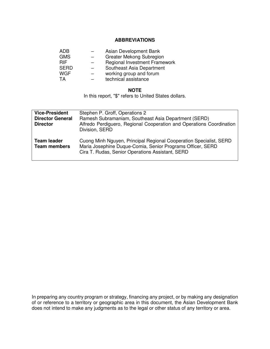#### **ABBREVIATIONS**

| ADB.        | Asian Development Bank          |
|-------------|---------------------------------|
| <b>GMS</b>  | <b>Greater Mekong Subregion</b> |
| <b>RIF</b>  | Regional Investment Framework   |
| <b>SERD</b> | Southeast Asia Department       |
| <b>WGF</b>  | working group and forum         |
| TA          | technical assistance            |

#### **NOTE**

In this report, "\$" refers to United States dollars.

| <b>Vice-President</b><br><b>Director General</b><br><b>Director</b> | Stephen P. Groff, Operations 2<br>Ramesh Subramaniam, Southeast Asia Department (SERD)<br>Alfredo Perdiguero, Regional Cooperation and Operations Coordination<br>Division, SERD     |
|---------------------------------------------------------------------|--------------------------------------------------------------------------------------------------------------------------------------------------------------------------------------|
| <b>Team leader</b><br><b>Team members</b>                           | Cuong Minh Nguyen, Principal Regional Cooperation Specialist, SERD<br>Maria Josephine Duque-Comia, Senior Programs Officer, SERD<br>Cira T. Rudas, Senior Operations Assistant, SERD |

In preparing any country program or strategy, financing any project, or by making any designation of or reference to a territory or geographic area in this document, the Asian Development Bank does not intend to make any judgments as to the legal or other status of any territory or area.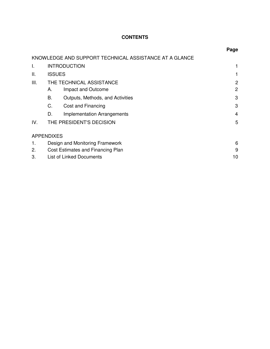# **CONTENTS**

|                   |                          |                                                        | Page |
|-------------------|--------------------------|--------------------------------------------------------|------|
|                   |                          | KNOWLEDGE AND SUPPORT TECHNICAL ASSISTANCE AT A GLANCE |      |
| I.                |                          | <b>INTRODUCTION</b>                                    |      |
| Ш.                | <b>ISSUES</b>            |                                                        |      |
| III.              | THE TECHNICAL ASSISTANCE |                                                        | 2    |
|                   | А.                       | Impact and Outcome                                     | 2    |
|                   | В.                       | Outputs, Methods, and Activities                       | 3    |
|                   | C.                       | Cost and Financing                                     | 3    |
|                   | D.                       | <b>Implementation Arrangements</b>                     | 4    |
| IV.               |                          | THE PRESIDENT'S DECISION                               | 5    |
| <b>APPENDIXES</b> |                          |                                                        |      |
| 1.                |                          | Design and Monitoring Framework                        | 6    |
| 2.                |                          | Cost Estimates and Financing Plan                      | 9    |
| 3.                |                          | <b>List of Linked Documents</b>                        | 10   |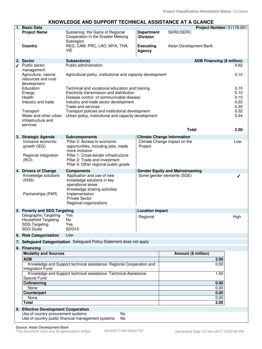## **KNOWLEDGE AND SUPPORT TECHNICAL ASSISTANCE AT A GLANCE**

|    | 1. Basic Data                                                            |                                                                                                                                                                                    |                                   |                                        | Project Number: 51178-001         |
|----|--------------------------------------------------------------------------|------------------------------------------------------------------------------------------------------------------------------------------------------------------------------------|-----------------------------------|----------------------------------------|-----------------------------------|
|    | <b>Project Name</b>                                                      | Sustaining the Gains of Regional                                                                                                                                                   | <b>Department</b>                 | SERD/SERC                              |                                   |
|    |                                                                          | Cooperation in the Greater Mekong<br>Subregion                                                                                                                                     | /Division                         |                                        |                                   |
|    | Country                                                                  | REG, CAM, PRC, LAO, MYA, THA,<br>VIE                                                                                                                                               | <b>Executing</b><br><b>Agency</b> | Asian Development Bank                 |                                   |
|    |                                                                          |                                                                                                                                                                                    |                                   |                                        |                                   |
|    | 2. Sector                                                                | Subsector(s)                                                                                                                                                                       |                                   |                                        | <b>ADB Financing (\$ million)</b> |
|    | $\sqrt{\phantom{a}}$ Public sector                                       | Public administration                                                                                                                                                              |                                   |                                        | 0.62                              |
|    | management<br>Agriculture, natural<br>resources and rural<br>development | Agricultural policy, institutional and capacity development                                                                                                                        |                                   |                                        | 0.10                              |
|    | Education                                                                | Technical and vocational education and training                                                                                                                                    |                                   |                                        | 0.10                              |
|    | Energy                                                                   | Electricity transmission and distribution                                                                                                                                          |                                   |                                        | 0.10                              |
|    | Health                                                                   | Disease control of communicable disease                                                                                                                                            |                                   |                                        | 0.10                              |
|    | Industry and trade                                                       | Industry and trade sector development                                                                                                                                              |                                   |                                        | 0.22                              |
|    |                                                                          | Trade and services                                                                                                                                                                 |                                   |                                        | 0.20                              |
|    | Transport                                                                | Transport policies and institutional development                                                                                                                                   |                                   |                                        | 0.32                              |
|    | Water and other urban<br>infrastructure and<br>services                  | Urban policy, institutional and capacity development                                                                                                                               |                                   |                                        | 0.24                              |
|    |                                                                          |                                                                                                                                                                                    |                                   | <b>Total</b>                           | 2.00                              |
|    | 3. Strategic Agenda                                                      | <b>Subcomponents</b>                                                                                                                                                               |                                   | <b>Climate Change Information</b>      |                                   |
|    | Inclusive economic                                                       | Pillar 2: Access to economic                                                                                                                                                       |                                   | Climate Change impact on the           | Low                               |
|    | growth (IEG)                                                             | opportunities, including jobs, made<br>more inclusive                                                                                                                              | Project                           |                                        |                                   |
|    | Regional integration                                                     | Pillar 1: Cross-border infrastructure                                                                                                                                              |                                   |                                        |                                   |
|    | (RCI)                                                                    | Pillar 2: Trade and investment<br>Pillar 4: Other regional public goods                                                                                                            |                                   |                                        |                                   |
| 4. | <b>Drivers of Change</b>                                                 | <b>Components</b>                                                                                                                                                                  |                                   | <b>Gender Equity and Mainstreaming</b> |                                   |
|    | Knowledge solutions<br>(KNS)<br>Partnerships (PAR)                       | Application and use of new<br>knowledge solutions in key<br>operational areas<br>Knowledge sharing activities<br>Implementation<br><b>Private Sector</b><br>Regional organizations |                                   | Some gender elements (SGE)             | ,                                 |
|    | 5. Poverty and SDG Targeting                                             |                                                                                                                                                                                    | <b>Location Impact</b>            |                                        |                                   |
|    | Geographic Targeting                                                     | Yes                                                                                                                                                                                | Regional                          |                                        | High                              |
|    | <b>Household Targeting</b>                                               | No                                                                                                                                                                                 |                                   |                                        |                                   |
|    | <b>SDG Targeting</b>                                                     | Yes                                                                                                                                                                                |                                   |                                        |                                   |
|    | <b>SDG Goals</b>                                                         | SDG <sub>10</sub>                                                                                                                                                                  |                                   |                                        |                                   |
|    | 6. Risk Categorization                                                   | Low                                                                                                                                                                                |                                   |                                        |                                   |
|    |                                                                          | 7. Safeguard Categorization Safeguard Policy Statement does not apply                                                                                                              |                                   |                                        |                                   |
|    | 8. Financing                                                             |                                                                                                                                                                                    |                                   |                                        |                                   |
|    | <b>Modality and Sources</b>                                              |                                                                                                                                                                                    |                                   | Amount (\$ million)                    |                                   |
|    | <b>ADB</b>                                                               |                                                                                                                                                                                    |                                   |                                        | 2.00                              |
|    | Integration Fund                                                         | Knowledge and Support technical assistance: Regional Cooperation and                                                                                                               |                                   |                                        | 0.50                              |
|    | Knowledge and Support technical assistance: Technical Assistance         |                                                                                                                                                                                    |                                   |                                        | 1.50                              |
|    | Special Fund                                                             |                                                                                                                                                                                    |                                   |                                        |                                   |
|    | Cofinancing                                                              |                                                                                                                                                                                    |                                   |                                        | 0.00                              |
|    | None                                                                     |                                                                                                                                                                                    |                                   |                                        | 0.00                              |
|    | Counterpart                                                              |                                                                                                                                                                                    |                                   |                                        | 0.00                              |
|    | None                                                                     |                                                                                                                                                                                    |                                   |                                        | 0.00                              |
|    | <b>Total</b>                                                             |                                                                                                                                                                                    |                                   |                                        | 2.00                              |
|    | 9. Effective Development Cooperation                                     |                                                                                                                                                                                    |                                   |                                        |                                   |
|    | Use of country procurement systems                                       | No                                                                                                                                                                                 |                                   |                                        |                                   |
|    |                                                                          | Use of country public financial management systems<br>No                                                                                                                           |                                   |                                        |                                   |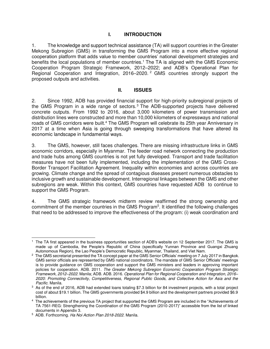## **I. INTRODUCTION**

1. The knowledge and support technical assistance (TA) will support countries in the Greater Mekong Subregion (GMS) in transforming the GMS Program into a more effective regional cooperation platform that adds value to member countries' national development strategies and benefits the local populations of member countries.<sup>1</sup> The TA is aligned with the GMS Economic Cooperation Program Strategic Framework, 2012–2022; and ADB's Operational Plan for Regional Cooperation and Integration, 2016–2020.<sup>2</sup> GMS countries strongly support the proposed outputs and activities.

#### **II. ISSUES**

2. Since 1992, ADB has provided financial support for high-priority subregional projects of the GMS Program in a wide range of sectors.<sup>3</sup> The ADB-supported projects have delivered concrete outputs. From 1992 to 2016, about 3,000 kilometers of power transmission and distribution lines were constructed and more than 10,000 kilometers of expressways and national roads of GMS corridors were built.<sup>4</sup> The GMS Program will celebrate its 25th year Anniversary in 2017 at a time when Asia is going through sweeping transformations that have altered its economic landscape in fundamental ways.

3. The GMS, however, still faces challenges. There are missing infrastructure links in GMS economic corridors, especially in Myanmar. The feeder road network connecting the production and trade hubs among GMS countries is not yet fully developed. Transport and trade facilitation measures have not been fully implemented, including the implementation of the GMS Cross-Border Transport Facilitation Agreement. Inequality within economies and across countries are growing. Climate change and the spread of contagious diseases present numerous obstacles to inclusive growth and sustainable development. Interregional linkages between the GMS and other subregions are weak. Within this context, GMS countries have requested ADB to continue to support the GMS Program.

4. The GMS strategic framework midterm review reaffirmed the strong ownership and commitment of the member countries in the GMS Program<sup>5</sup>. It identified the following challenges that need to be addressed to improve the effectiveness of the program: (i) weak coordination and

 $\overline{a}$ 1 The TA first appeared in the business opportunities section of ADB's website on 12 September 2017. The GMS is made up of Cambodia, the People's Republic of China (specifically Yunnan Province and Guangxi Zhuang Autonomous Region), the Lao People's Democratic Republic, Myanmar, Thailand, and Viet Nam.

 $^2$  The GMS secretariat presented the TA concept paper at the GMS Senior Officials' meeting on 7 July 2017 in Bangkok. GMS senior officials are represented by GMS national coordinators. The mandate of GMS Senior Officials' meetings is to provide guidance on GMS cooperation and support the GMS ministers and leaders in approving important policies for cooperation. ADB. 2011. *The Greater Mekong Subregion Economic Cooperation Program Strategic Framework, 2012–2022.* Manila; ADB. ADB. 2016. *Operational Plan for Regional Cooperation and Integration, 2016– 2020: Promoting Connectivity, Competitiveness, Regional Public Goods, and Collective Action for Asia and the Pacific*. Manila.

<sup>3</sup> As of the end of 2016, ADB had extended loans totaling \$7.3 billion for 84 investment projects, with a total project cost of about \$19.1 billion. The GMS governments provided \$4.9 billion and the development partners provided \$6.9 billion.

<sup>4</sup> The achievements of the previous TA project that supported the GMS Program are included in the "Achievements of TA 7561-REG: Strengthening the Coordination of the GMS Program (2010-2017)" accessible from the list of linked documents in Appendix 3.

<sup>5</sup> ADB. Forthcoming. *Ha Noi Action Plan 2018-2022*. Manila.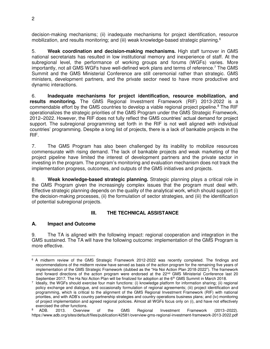decision-making mechanisms; (ii) inadequate mechanisms for project identification, resource mobilization, and results monitoring; and (iii) weak knowledge-based strategic planning.<sup>6</sup>

5. **Weak coordination and decision-making mechanisms.** High staff turnover in GMS national secretariats has resulted in low institutional memory and inexperience of staff. At the subregional level, the performance of working groups and forums (WGFs) varies. More importantly, not all GMS WGFs have well-defined work plans and terms of reference.<sup>7</sup> The GMS Summit and the GMS Ministerial Conference are still ceremonial rather than strategic. GMS ministers, development partners, and the private sector need to have more productive and dynamic interactions.

6. **Inadequate mechanisms for project identification, resource mobilization, and results monitoring.** The GMS Regional Investment Framework (RIF) 2013-2022 is a commendable effort by the GMS countries to develop a viable regional project pipeline.<sup>8</sup> The RIF operationalizes the strategic priorities of the GMS Program under the GMS Strategic Framework, 2012–2022. However, the RIF does not fully reflect the GMS countries' actual demand for project support. The subregional programming set forth in the RIF is not well aligned with individual countries' programming. Despite a long list of projects, there is a lack of bankable projects in the RIF.

7. The GMS Program has also been challenged by its inability to mobilize resources commensurate with rising demand. The lack of bankable projects and weak marketing of the project pipeline have limited the interest of development partners and the private sector in investing in the program. The program's monitoring and evaluation mechanism does not track the implementation progress, outcomes, and outputs of the GMS initiatives and projects.

8. **Weak knowledge-based strategic planning.** Strategic planning plays a critical role in the GMS Program given the increasingly complex issues that the program must deal with. Effective strategic planning depends on the quality of the analytical work, which should support (i) the decision-making processes, (ii) the formulation of sector strategies, and (iii) the identification of potential subregional projects.

## **III. THE TECHNICAL ASSISTANCE**

## **A. Impact and Outcome**

9. The TA is aligned with the following impact: regional cooperation and integration in the GMS sustained. The TA will have the following outcome: implementation of the GMS Program is more effective.

 $\overline{a}$ <sup>6</sup> A midterm review of the GMS Strategic Framework 2012-2022 was recently completed. The findings and recommendations of the midterm review have served as basis of the action program for the remaining five years of implementation of the GMS Strategic Framework (dubbed as the "Ha Noi Action Plan 2018-2022"). The framework and forward directions of the action program were endorsed at the 22<sup>nd</sup> GMS Ministerial Conference last 20 September 2017. The Ha Noi Action Plan will be finalized for adoption at the 6<sup>th</sup> GMS Summit in March 2018.

<sup>7</sup> Ideally, the WGFs should exercise four main functions: (i) knowledge platform for information sharing; (ii) regional policy exchange and dialogue, and occasionally formulation of regional agreements; (iii) project identification and programming, which is critical to the alignment of the GMS Regional Investment Framework (RIF) with national priorities, and with ADB's country partnership strategies and country operations business plans; and (iv) monitoring of project implementation and agreed regional policies. Almost all WGFs focus only on (i), and have not effectively exercised the other functions.

<sup>8</sup> ADB. 2013. Overview of the GMS Regional Investment Framework (2013–2022). https://www.adb.org/sites/default/files/publication/42581/overview-gms-regional-investment-framework-2013-2022.pdf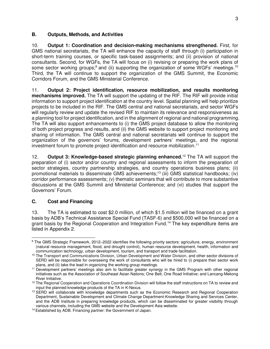#### **B. Outputs, Methods, and Activities**

10. **Output 1: Coordination and decision-making mechanisms strengthened.** First, for GMS national secretariats, the TA will enhance the capacity of staff through (i) participation in short-term training courses, or specific task-based assignments; and (ii) provision of national consultants. Second, for WGFs, the TA will focus on (i) revising or preparing the work plans of some sector working groups;<sup>9</sup> and (ii) supporting the organization of some WGFs' meetings.<sup>10</sup> Third, the TA will continue to support the organization of the GMS Summit, the Economic Corridors Forum, and the GMS Ministerial Conference.

11. **Output 2: Project identification, resource mobilization, and results monitoring mechanisms improved.** The TA will support the updating of the RIF. The RIF will provide initial information to support project identification at the country level. Spatial planning will help prioritize projects to be included in the RIF. The GMS central and national secretariats, and sector WGFs will regularly review and update the revised RIF to maintain its relevance and responsiveness as a planning tool for project identification, and in the alignment of regional and national programming. The TA will also support enhancements to (i) the GMS project database to allow the monitoring of both project progress and results, and (ii) the GMS website to support project monitoring and sharing of information. The GMS central and national secretariats will continue to support the organization of the governors' forums, development partners' meetings, and the regional investment forum to promote project identification and resource mobilization.<sup>11</sup>

12. Output 3: Knowledge-based strategic planning enhanced.<sup>12</sup> The TA will support the preparation of (i) sector and/or country and regional assessments to inform the preparation of sector strategies, country partnership strategies, and country operations business plans; (ii) promotional materials to disseminate GMS achievements;<sup>13</sup> (iii) GMS statistical handbooks; (iv) corridor performance assessments; (v) thematic seminars that will contribute to more substantive discussions at the GMS Summit and Ministerial Conference; and (vi) studies that support the Governors' Forum.

## **C. Cost and Financing**

13. The TA is estimated to cost \$2.0 million, of which \$1.5 million will be financed on a grant basis by ADB's Technical Assistance Special Fund (TASF-6) and \$500,000 will be financed on a grant basis by the Regional Cooperation and Integration Fund.<sup>14</sup> The key expenditure items are listed in Appendix 2.

 $\overline{a}$ <sup>9</sup> The GMS Strategic Framework, 2012–2022 identifies the following priority sectors: agriculture, energy, environment (natural resource management, flood, and drought control), human resource development, health, information and communication technology, urban development, tourism, and transport and trade facilitation.

<sup>&</sup>lt;sup>10</sup> The Transport and Communications Division, Urban Development and Water Division, and other sector divisions of SERD will be responsible for overseeing the work of consultants who will be hired to (i) prepare their sector work plans, and (ii) take the lead in organizing the working group meetings.

<sup>&</sup>lt;sup>11</sup> Development partners' meetings also aim to facilitate greater synergy in the GMS Program with other regional initiatives such as the Association of Southeast Asian Nations; One Belt, One Road Initiative; and Lancang-Mekong River Initiative.

<sup>&</sup>lt;sup>12</sup> The Regional Cooperation and Operations Coordination Division will follow the staff instructions on TA to review and input the planned knowledge products of the TA in K-Nexus.

<sup>&</sup>lt;sup>13</sup> SERD will collaborate with knowledge departments such as the Economic Research and Regional Cooperation Department, Sustainable Development and Climate Change Department-Knowledge Sharing and Services Center, and the ADB Institute in preparing knowledge products, which can be disseminated for greater visibility through various channels, including the GMS website and the Development Asia website.

<sup>14</sup> Established by ADB. Financing partner: the Government of Japan.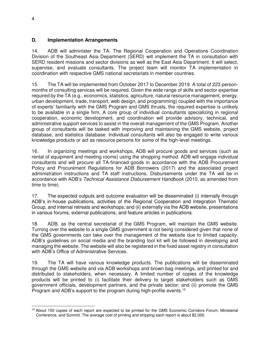## **D. Implementation Arrangements**

14. ADB will administer the TA. The Regional Cooperation and Operations Coordination Division of the Southeast Asia Department (SERD) will implement the TA in consultation with SERD resident missions and sector divisions as well as the East Asia Department. It will select, supervise, and evaluate consultants. The project team will monitor TA implementation in coordination with respective GMS national secretariats in member countries.

15. The TA will be implemented from October 2017 to December 2019. A total of 223 personmonths of consulting services will be required. Given the wide range of skills and sector expertise required by the TA (e.g., economics, statistics, agriculture, natural resource management, energy, urban development, trade, transport, web design, and programming) coupled with the importance of experts' familiarity with the GMS Program and GMS thrusts, the required expertise is unlikely to be available in a single firm. A core group of individual consultants specializing in regional cooperation, economic development, and coordination will provide advisory, technical, and administrative support services to assist in the overall management of the GMS Program. Another group of consultants will be tasked with improving and maintaining the GMS website, project database, and statistics database. Individual consultants will also be engaged to write various knowledge products or act as resource persons for some of the high-level meetings.

16. In organizing meetings and workshops, ADB will procure goods and services (such as rental of equipment and meeting rooms) using the shopping method. ADB will engage individual consultants and will procure all TA-financed goods in accordance with the ADB Procurement Policy and Procurement Regulations for ADB Borrowers (2017) and the associated project administration instructions and TA staff instructions. Disbursements under the TA will be in accordance with ADB's *Technical Assistance Disbursement Handbook* (2010, as amended from time to time).

17. The expected outputs and outcome evaluation will be disseminated (i) internally through ADB's in-house publications, activities of the Regional Cooperation and Integration Thematic Group, and internal retreats and workshops; and (ii) externally via the ADB website, presentations in various forums, external publications, and feature articles in publications.

18. ADB, as the central secretariat of the GMS Program, will maintain the GMS website. Turning over the website to a single GMS government is not being considered given that none of the GMS governments can take over the management of the website due to limited capacity. ADB's guidelines on social media and the branding tool kit will be followed in developing and managing the website. The website will also be registered in the fixed asset registry in consultation with ADB's Office of Administrative Services.

19. The TA will have various knowledge products. The publications will be disseminated through the GMS website and via ADB workshops and brown bag meetings, and printed for and distributed to stakeholders, when necessary. A limited number of copies of the knowledge products will be printed to (i) facilitate their delivery to target stakeholders such as GMS government officials, development partners, and the private sector; and (ii) promote the GMS Program and ADB's support to the program during high-profile events.<sup>15</sup>

 $\overline{a}$ <sup>15</sup> About 150 copies of each report are expected to be printed for the GMS Economic Corridors Forum, Ministerial Conference, and Summit. The average cost of printing and shipping each report is about \$2,000.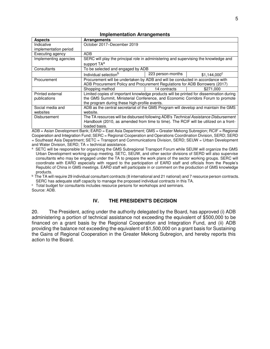| <b>Aspects</b>        | <b>Arrangements</b>                                                                            |                   |                      |
|-----------------------|------------------------------------------------------------------------------------------------|-------------------|----------------------|
| Indicative            | October 2017–December 2019                                                                     |                   |                      |
| implementation period |                                                                                                |                   |                      |
| Executing agency      | ADB                                                                                            |                   |                      |
| Implementing agencies | SERC will play the principal role in administering and supervising the knowledge and           |                   |                      |
|                       | support TA <sup>a</sup>                                                                        |                   |                      |
| Consultants           | To be selected and engaged by ADB                                                              |                   |                      |
|                       | Individual selection <sup>b</sup>                                                              | 223 person-months | $$1,144,000^{\circ}$ |
| Procurement           | Procurement will be undertaken by ADB and will be conducted in accordance with                 |                   |                      |
|                       | ADB Procurement Policy and Procurement Regulations for ADB Borrowers (2017)                    |                   |                      |
|                       | Shopping method                                                                                | 14 contracts      | \$271,000            |
| Printed external      | Limited copies of important knowledge products will be printed for dissemination during        |                   |                      |
| publications          | the GMS Summit, Ministerial Conference, and Economic Corridors Forum to promote                |                   |                      |
|                       | the program during these high-profile events.                                                  |                   |                      |
| Social media and      | ADB as the central secretariat of the GMS Program will develop and maintain the GMS            |                   |                      |
| websites              | website.                                                                                       |                   |                      |
| Disbursement          | The TA resources will be disbursed following ADB's Technical Assistance Disbursement           |                   |                      |
|                       | Handbook (2010, as amended from time to time). The RCIF will be utilized on a front-           |                   |                      |
|                       | loaded basis.                                                                                  |                   |                      |
| ADD                   | Agian Dougleoment Papk: EARD East Agia Department: CMC Creater Makeng Subregian: PCIE Peginnal |                   |                      |

ADB = Asian Development Bank; EARD = East Asia Department; GMS = Greater Mekong Subregion; RCIF = Regional Cooperation and Integration Fund; SERC = Regional Cooperation and Operations Coordination Division, SERD; SERD = Southeast Asia Department; SETC = Transport and Communications Division, SERD; SEUW = Urban Development and Water Division, SERD; TA = technical assistance.

a SETC will be responsible for organizing the GMS Subregional Transport Forum while SEUW will organize the GMS Urban Development working group meeting. SETC, SEUW, and other sector divisions of SERD will also supervise consultants who may be engaged under the TA to prepare the work plans of the sector working groups. SERC will coordinate with EARD especially with regard to the participation of EARD staff and officials from the People's Republic of China in GMS meetings. EARD staff will participate in or comment on the production of GMS knowledge products.

 $\overline{b}$  The TA will require 29 individual consultant contracts (8 international and 21 national) and 7 resource person contracts. SERC has adequate staff capacity to manage the proposed individual contracts in this TA.

c Total budget for consultants includes resource persons for workshops and seminars.

Source: ADB.

## **IV. THE PRESIDENT'S DECISION**

20. The President, acting under the authority delegated by the Board, has approved (i) ADB administering a portion of technical assistance not exceeding the equivalent of \$500,000 to be financed on a grant basis by the Regional Cooperation and Integration Fund, and (ii) ADB providing the balance not exceeding the equivalent of \$1,500,000 on a grant basis for Sustaining the Gains of Regional Cooperation in the Greater Mekong Subregion, and hereby reports this action to the Board.

#### **Implementation Arrangements**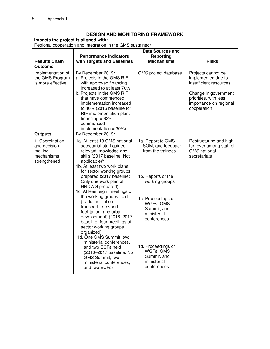## **DESIGN AND MONITORING FRAMEWORK**

| Impacts the project is aligned with:                                     |                                                                                                                                                                                                                                                                                                                                                                                                                                                     |                                                                                                                                                                                     |                                                                                                                                                              |  |
|--------------------------------------------------------------------------|-----------------------------------------------------------------------------------------------------------------------------------------------------------------------------------------------------------------------------------------------------------------------------------------------------------------------------------------------------------------------------------------------------------------------------------------------------|-------------------------------------------------------------------------------------------------------------------------------------------------------------------------------------|--------------------------------------------------------------------------------------------------------------------------------------------------------------|--|
|                                                                          | Regional cooperation and integration in the GMS sustained <sup>a</sup>                                                                                                                                                                                                                                                                                                                                                                              |                                                                                                                                                                                     |                                                                                                                                                              |  |
|                                                                          | <b>Performance Indicators</b>                                                                                                                                                                                                                                                                                                                                                                                                                       | <b>Data Sources and</b><br><b>Reporting</b>                                                                                                                                         |                                                                                                                                                              |  |
| <b>Results Chain</b>                                                     | with Targets and Baselines                                                                                                                                                                                                                                                                                                                                                                                                                          | <b>Mechanisms</b>                                                                                                                                                                   | <b>Risks</b>                                                                                                                                                 |  |
| <b>Outcome</b>                                                           |                                                                                                                                                                                                                                                                                                                                                                                                                                                     |                                                                                                                                                                                     |                                                                                                                                                              |  |
| Implementation of<br>the GMS Program<br>is more effective                | By December 2019:<br>a. Projects in the GMS RIF<br>with approved financing<br>increased to at least 70%<br>b. Projects in the GMS RIF<br>that have commenced<br>implementation increased<br>to 40% (2016 baseline for<br>RIF implementation plan:<br>financing = $62\%$ ,<br>commenced<br>implementation = $30\%)$                                                                                                                                  | GMS project database                                                                                                                                                                | Projects cannot be<br>implemented due to<br>insufficient resources<br>Change in government<br>priorities, with less<br>importance on regional<br>cooperation |  |
| <b>Outputs</b>                                                           | By December 2019:                                                                                                                                                                                                                                                                                                                                                                                                                                   |                                                                                                                                                                                     |                                                                                                                                                              |  |
| 1. Coordination<br>and decision-<br>making<br>mechanisms<br>strengthened | 1a. At least 18 GMS national<br>secretariat staff gained<br>relevant knowledge and<br>skills (2017 baseline: Not<br>applicable) <sup>b</sup><br>1b. At least two work plans<br>for sector working groups<br>prepared (2017 baseline:<br>Only one work plan of<br>HRDWG prepared)<br>1c. At least eight meetings of<br>the working groups held<br>(trade facilitation,<br>transport, transport<br>facilitation, and urban<br>development) (2016-2017 | 1a. Report to GMS<br>SOM, and feedback<br>from the trainees<br>1b. Reports of the<br>working groups<br>1c. Proceedings of<br>WGFs, GMS<br>Summit, and<br>ministerial<br>conferences | Restructuring and high<br>turnover among staff of<br><b>GMS</b> national<br>secretariats                                                                     |  |
|                                                                          | baseline: four meetings of<br>sector working groups<br>organized) <sup>c</sup><br>1d. One GMS Summit, two<br>ministerial conferences,<br>and two ECFs held<br>(2016-2017 baseline: No<br>GMS Summit, two<br>ministerial conferences,<br>and two ECFs)                                                                                                                                                                                               | 1d. Proceedings of<br>WGFs, GMS<br>Summit, and<br>ministerial<br>conferences                                                                                                        |                                                                                                                                                              |  |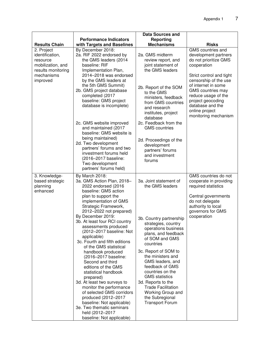|                                                                                                                |                                                                                                                                                                                                                                                                                                                                                                                                                                                                                                                                                                                                                                                                                                                                         | <b>Data Sources and</b>                                                                                                                                                                                                                                                                                                                                                                                                        |                                                                                                                                                                                                                                                                         |
|----------------------------------------------------------------------------------------------------------------|-----------------------------------------------------------------------------------------------------------------------------------------------------------------------------------------------------------------------------------------------------------------------------------------------------------------------------------------------------------------------------------------------------------------------------------------------------------------------------------------------------------------------------------------------------------------------------------------------------------------------------------------------------------------------------------------------------------------------------------------|--------------------------------------------------------------------------------------------------------------------------------------------------------------------------------------------------------------------------------------------------------------------------------------------------------------------------------------------------------------------------------------------------------------------------------|-------------------------------------------------------------------------------------------------------------------------------------------------------------------------------------------------------------------------------------------------------------------------|
|                                                                                                                | <b>Performance Indicators</b>                                                                                                                                                                                                                                                                                                                                                                                                                                                                                                                                                                                                                                                                                                           | Reporting                                                                                                                                                                                                                                                                                                                                                                                                                      |                                                                                                                                                                                                                                                                         |
| <b>Results Chain</b>                                                                                           | with Targets and Baselines<br>By December 2018:                                                                                                                                                                                                                                                                                                                                                                                                                                                                                                                                                                                                                                                                                         | <b>Mechanisms</b>                                                                                                                                                                                                                                                                                                                                                                                                              | <b>Risks</b><br>GMS countries and                                                                                                                                                                                                                                       |
| 2. Project<br>identification,<br>resource<br>mobilization, and<br>results monitoring<br>mechanisms<br>improved | 2a. RIF 2022 endorsed by<br>the GMS leaders (2014<br>baseline: RIF<br>Implementation Plan,<br>2014-2018 was endorsed<br>by the GMS leaders at<br>the 5th GMS Summit)<br>2b. GMS project database<br>completed (2017<br>baseline: GMS project<br>database is incomplete)<br>2c. GMS website improved<br>and maintained (2017<br>baseline: GMS website is<br>being maintained)<br>2d. Two development<br>partners' forums and two<br>investment forums held<br>(2016-2017 baseline:<br>Two development<br>partners' forums held)                                                                                                                                                                                                          | 2a. GMS midterm<br>review report, and<br>joint statement of<br>the GMS leaders<br>2b. Report of the SOM<br>to the GMS<br>ministers, feedback<br>from GMS countries<br>and research<br>institutes, project<br>database<br>2c. Feedback from the<br><b>GMS</b> countries<br>2d. Proceedings of the<br>development<br>partners' forums<br>and investment<br>forums                                                                | development partners<br>do not prioritize GMS<br>cooperation<br>Strict control and tight<br>censorship of the use<br>of internet in some<br>GMS countries may<br>reduce usage of the<br>project geocoding<br>database and the<br>online project<br>monitoring mechanism |
| 3. Knowledge-<br>based strategic<br>planning<br>enhanced                                                       | By March 2018:<br>3a. GMS Action Plan, 2018-<br>2022 endorsed (2016<br>baseline: GMS action<br>plan to support the<br>implementation of GMS<br>Strategic Framework,<br>2012-2022 not prepared)<br>By December 2019:<br>3b. At least four RCI country<br>assessments produced<br>(2012-2017 baseline: Not<br>applicable)<br>3c. Fourth and fifth editions<br>of the GMS statistical<br>handbook produced<br>(2016-2017 baseline:<br>Second and third<br>editions of the GMS<br>statistical handbook<br>prepared)<br>3d. At least two surveys to<br>monitor the performance<br>of selected GMS corridors<br>produced (2012-2017<br>baseline: Not applicable)<br>3e. Two thematic seminars<br>held (2012-2017<br>baseline: Not applicable) | 3a. Joint statement of<br>the GMS leaders<br>3b. Country partnership<br>strategies, country<br>operations business<br>plans, and feedback<br>of SOM and GMS<br>countries<br>3c. Report of SOM to<br>the ministers and<br>GMS leaders, and<br>feedback of GMS<br>countries on the<br><b>GMS</b> statistics<br>3d. Reports to the<br><b>Trade Facilitation</b><br>Working Group and<br>the Subregional<br><b>Transport Forum</b> | GMS countries do not<br>cooperate in providing<br>required statistics<br>Central governments<br>do not delegate<br>authority to local<br>governors for GMS<br>cooperation                                                                                               |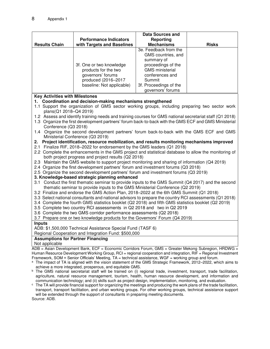|                                                                                                      |                                                                                                                                                                                                   | <b>Data Sources and</b> |              |  |
|------------------------------------------------------------------------------------------------------|---------------------------------------------------------------------------------------------------------------------------------------------------------------------------------------------------|-------------------------|--------------|--|
|                                                                                                      | <b>Performance Indicators</b>                                                                                                                                                                     | <b>Reporting</b>        |              |  |
| <b>Results Chain</b>                                                                                 | with Targets and Baselines                                                                                                                                                                        | <b>Mechanisms</b>       | <b>Risks</b> |  |
|                                                                                                      |                                                                                                                                                                                                   | 3e. Feedback from the   |              |  |
|                                                                                                      |                                                                                                                                                                                                   | GMS countries, and      |              |  |
|                                                                                                      |                                                                                                                                                                                                   | summary of              |              |  |
|                                                                                                      | 3f. One or two knowledge                                                                                                                                                                          | proceedings of the      |              |  |
|                                                                                                      | products for the two                                                                                                                                                                              | <b>GMS</b> ministerial  |              |  |
|                                                                                                      | governors' forums                                                                                                                                                                                 | conferences and         |              |  |
|                                                                                                      | produced (2016-2017                                                                                                                                                                               | Summit                  |              |  |
|                                                                                                      | baseline: Not applicable)                                                                                                                                                                         | 3f. Proceedings of the  |              |  |
|                                                                                                      |                                                                                                                                                                                                   | governors' forums       |              |  |
| <b>Key Activities with Milestones</b>                                                                |                                                                                                                                                                                                   |                         |              |  |
|                                                                                                      | 1. Coordination and decision-making mechanisms strengthened                                                                                                                                       |                         |              |  |
|                                                                                                      | 1.1 Support the organization of GMS sector working groups, including preparing two sector work                                                                                                    |                         |              |  |
| plans(Q1 2018-Q4 2019)                                                                               |                                                                                                                                                                                                   |                         |              |  |
|                                                                                                      | 1.2 Assess and identify training needs and training courses for GMS national secretariat staff (Q1 2018)                                                                                          |                         |              |  |
|                                                                                                      | 1.3 Organize the first development partners' forum back-to-back with the GMS ECF and GMS Ministerial                                                                                              |                         |              |  |
|                                                                                                      | Conference (Q3 2018)                                                                                                                                                                              |                         |              |  |
|                                                                                                      | 1.4 Organize the second development partners' forum back-to-back with the GMS ECF and GMS                                                                                                         |                         |              |  |
|                                                                                                      | Ministerial Conference (Q3 2019)                                                                                                                                                                  |                         |              |  |
|                                                                                                      | 2. Project identification, resource mobilization, and results monitoring mechanisms improved                                                                                                      |                         |              |  |
|                                                                                                      | 2.1 Finalize RIF, 2018-2022 for endorsement by the GMS leaders (Q1 2018)                                                                                                                          |                         |              |  |
| 2.2 Complete the enhancements in the GMS project and statistical database to allow the monitoring of |                                                                                                                                                                                                   |                         |              |  |
|                                                                                                      | both project progress and project results (Q2 2018)                                                                                                                                               |                         |              |  |
|                                                                                                      | 2.3 Maintain the GMS website to support project monitoring and sharing of information (Q4 2019)<br>2.4 Organize the first development partners' forum and investment forums (Q3 2018)             |                         |              |  |
|                                                                                                      |                                                                                                                                                                                                   |                         |              |  |
|                                                                                                      | 2.5 Organize the second development partners' forum and investment forums (Q3 2019)                                                                                                               |                         |              |  |
|                                                                                                      | 3. Knowledge-based strategic planning enhanced                                                                                                                                                    |                         |              |  |
|                                                                                                      | 3.1 Conduct the first thematic seminar to provide inputs to the GMS Summit (Q4 2017) and the second                                                                                               |                         |              |  |
|                                                                                                      | thematic seminar to provide inputs to the GMS Ministerial Conference (Q2 2019)                                                                                                                    |                         |              |  |
|                                                                                                      | 3.2 Finalize and endorse the GMS Action Plan, 2018-2022 at the 6th GMS Summit (Q1 2018)<br>3.3 Select national consultants and national advisors to prepare the country RCI assessments (Q1 2018) |                         |              |  |
|                                                                                                      | 3.4 Complete the fourth GMS statistics booklet (Q2 2018) and fifth GMS statistics booklet (Q2 2019)                                                                                               |                         |              |  |
|                                                                                                      |                                                                                                                                                                                                   |                         |              |  |
|                                                                                                      | 3.5 Complete two country RCI assessments in Q2 2018 and two in Q2 2019<br>3.6 Complete the two GMS corridor performance assessments (Q2 2018)                                                     |                         |              |  |
|                                                                                                      | 3.7 Prepare one or two knowledge products for the Governors' Forum (Q4 2019)                                                                                                                      |                         |              |  |
| <b>Inputs</b>                                                                                        |                                                                                                                                                                                                   |                         |              |  |
|                                                                                                      | ADB: \$1,500,000 Technical Assistance Special Fund (TASF 6)                                                                                                                                       |                         |              |  |
|                                                                                                      | Regional Cooperation and Integration Fund: \$500,000                                                                                                                                              |                         |              |  |
| <b>Assumptions for Partner Financing</b>                                                             |                                                                                                                                                                                                   |                         |              |  |
| Not applicable                                                                                       |                                                                                                                                                                                                   |                         |              |  |
|                                                                                                      | $\overline{ADB}$ = Asian Development Bank, ECF = Economic Corridors Forum, GMS = Greater Mekong Subregion, HRDWG =                                                                                |                         |              |  |
|                                                                                                      | Human Resource Development Working Group, RCI = regional cooperation and integration, RIF = Regional Investment                                                                                   |                         |              |  |
|                                                                                                      | Framework, SOM = Senior Officials' Meeting, TA = technical assistance, WGF = working group and forum.                                                                                             |                         |              |  |

a The impact of TA is aligned with the vision statement of the GMS Strategic Framework, 2012–2022, which aims to achieve a more integrated, prosperous, and equitable GMS.

<sup>b</sup> The GMS national secretariat staff will be trained on (i) regional trade, investment, transport, trade facilitation, agriculture, natural resource management, tourism, health, human resource development, and information and communication technology; and (ii) skills such as project design, implementation, monitoring, and evaluation.

<sup>c</sup> The TA will provide financial support for organizing the meetings and producing the work plans of the trade facilitation, transport, transport facilitation, and urban working groups. For other working groups, technical assistance support will be extended through the support of consultants in preparing meeting documents. Source: ADB.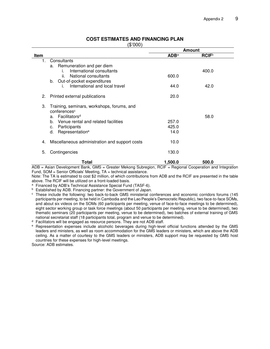|             |                                                                        | Amount       |                   |  |
|-------------|------------------------------------------------------------------------|--------------|-------------------|--|
| <b>Item</b> |                                                                        | <b>ADB</b> a | RCIF <sup>b</sup> |  |
| 1.          | Consultants                                                            |              |                   |  |
|             | Remuneration and per diem<br>a.                                        |              |                   |  |
|             | International consultants<br>İ.                                        |              | 400.0             |  |
|             | National consultants<br>ii.                                            | 600.0        |                   |  |
|             | b. Out-of-pocket expenditures                                          |              |                   |  |
|             | International and local travel<br>İ.                                   | 44.0         | 42.0              |  |
| 2.          | Printed external publications                                          | 20.0         |                   |  |
| З.          | Training, seminars, workshops, forums, and<br>conferences <sup>c</sup> |              |                   |  |
|             | Facilitators <sup>d</sup><br>a.                                        |              | 58.0              |  |
|             | Venue rental and related facilities<br>h.                              | 257.0        |                   |  |
|             | Participants<br>C.                                                     | 425.0        |                   |  |
|             | Representation <sup>e</sup><br>d.                                      | 14.0         |                   |  |
| 4.          | Miscellaneous administration and support costs                         | 10.0         |                   |  |
| 5.          | Contingencies                                                          | 130.0        |                   |  |
|             | Total                                                                  | 1,500.0      | 500.0             |  |

## **COST ESTIMATES AND FINANCING PLAN**

(\$'000)

ADB = Asian Development Bank, GMS = Greater Mekong Subregion, RCIF = Regional Cooperation and Integration Fund, SOM = Senior Officials' Meeting, TA = technical assistance.

Note: The TA is estimated to cost \$2 million, of which contributions from ADB and the RCIF are presented in the table above. The RCIF will be utilized on a front-loaded basis.

<sup>a</sup> Financed by ADB's Technical Assistance Special Fund (TASF-6).

<sup>b</sup> Established by ADB. Financing partner: the Government of Japan.

<sup>c</sup> These include the following: two back-to-back GMS ministerial conferences and economic corridors forums (145 participants per meeting, to be held in Cambodia and the Lao People's Democratic Republic), two face-to-face SOMs, and about six videos on the SOMs (60 participants per meeting, venue of face-to-face meetings to be determined), eight sector working group or task force meetings (about 50 participants per meeting, venue to be determined), two thematic seminars (20 participants per meeting, venue to be determined), two batches of external training of GMS national secretariat staff (18 participants total, program and venue to be determined).

 $d$  Facilitators will be engaged as resource persons. They are not ADB staff.

e Representation expenses include alcoholic beverages during high-level official functions attended by the GMS leaders and ministers, as well as room accommodation for the GMS leaders or ministers, which are above the ADB ceiling. As a matter of courtesy to the GMS leaders or ministers, ADB support may be requested by GMS host countries for these expenses for high-level meetings.

Source: ADB estimates.